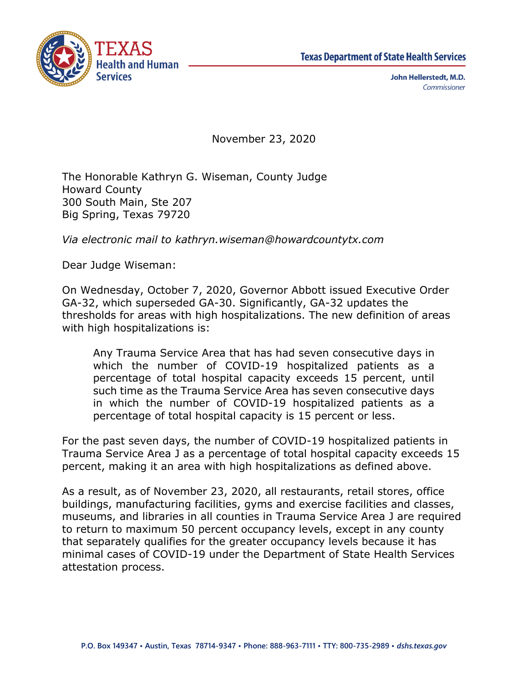



John Hellerstedt, M.D. Commissioner

November 23, 2020

The Honorable Kathryn G. Wiseman, County Judge Howard County 300 South Main, Ste 207 Big Spring, Texas 79720

*Via electronic mail to kathryn.wiseman@howardcountytx.com*

Dear Judge Wiseman:

On Wednesday, October 7, 2020, Governor Abbott issued Executive Order GA-32, which superseded GA-30. Significantly, GA-32 updates the thresholds for areas with high hospitalizations. The new definition of areas with high hospitalizations is:

Any Trauma Service Area that has had seven consecutive days in which the number of COVID-19 hospitalized patients as a percentage of total hospital capacity exceeds 15 percent, until such time as the Trauma Service Area has seven consecutive days in which the number of COVID-19 hospitalized patients as a percentage of total hospital capacity is 15 percent or less.

For the past seven days, the number of COVID-19 hospitalized patients in Trauma Service Area J as a percentage of total hospital capacity exceeds 15 percent, making it an area with high hospitalizations as defined above.

As a result, as of November 23, 2020, all restaurants, retail stores, office buildings, manufacturing facilities, gyms and exercise facilities and classes, museums, and libraries in all counties in Trauma Service Area J are required to return to maximum 50 percent occupancy levels, except in any county that separately qualifies for the greater occupancy levels because it has minimal cases of COVID-19 under the Department of State Health Services attestation process.